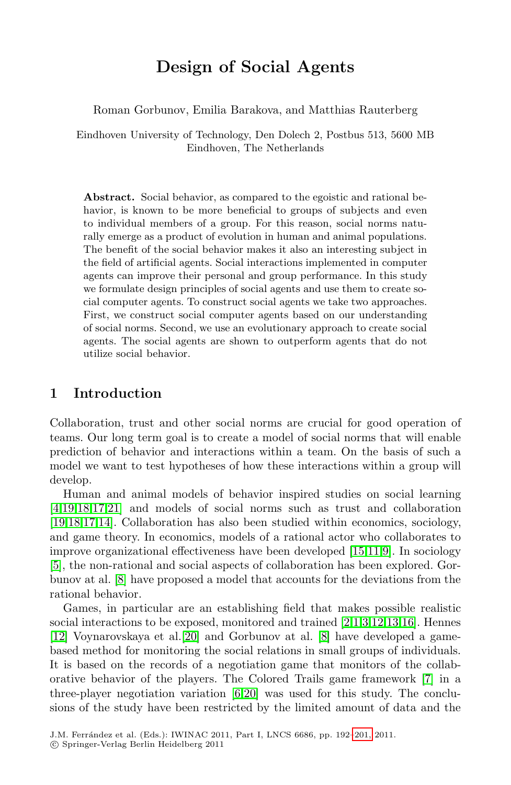# **Design of Social Agents**

Roman Gorbunov, Emilia Barakova, and Matthias Rauterberg

Eindhoven University of Technology, Den Dolech 2, Postbus 513, 5600 MB Eindhoven, The Netherlands

**Abstract.** Social behavior, as compared to the egoistic and rational behavior, is known to be more beneficial to groups of subjects and even to individual members of a group. For this reason, social norms naturally emerge as a product of evolution in human and animal populations. The benefit of the social behavior makes it also an interesting subject in the field of artificial agents. Social interactions implemented in computer agents can improve their personal and group performance. In this study we formulate design principles of social agents and use them to create social computer agents. To construct social agents we take two approaches. First, we construct social computer agents based on our understanding of social norms. Second, we use an evolutionary approach to create social agents. The social agents are shown to outperform agents that do not utilize social behavior.

## **1 Introduction**

Collaboration, trust and other social norms are crucial for good operation of teams. Our long term goal is to create [a m](#page-9-0)[od](#page-9-1)[el](#page-9-2) of social norms that will enable prediction of behavior and interactions within a team. On the basis of such a model we want to test hypotheses of how these interactions within a group will develop.

Human and animal models of behavior inspired studies on social learning [4,19,18,17,21] and models of social[no](#page-8-1)[rm](#page-8-2)[s](#page-9-3) [su](#page-9-4)[ch](#page-9-5) as trust and collaboration [19,18,[17,1](#page-9-6)4]. Collaboration has [als](#page-9-7)o been studied within economics, sociology, and game theory. In economics, models of a rational actor who collaborates to improve organizational effectiveness have been developed [15,11,9]. In sociology [5], the non-rational and social aspects of collaborati[on](#page-8-3) has been explored. Gorbunov at al. [8] [ha](#page-8-4)[ve p](#page-9-6)roposed a model that accounts for the deviations from the rational behavior.

Games, in particular are an establishing field that makes possible realistic social interactions to be exposed, monit[ored](#page-9-8) and trained [2,1,3,12,13,16]. Hennes [12] Voynarovskaya et al.[20] and Gorbunov at al. [8] have developed a gamebased method for monitoring the social relations in small groups of individuals. It is based on the records of a negotiation game that monitors of the collaborative behavior of the players. The Colored Trails game framework [7] in a three-player negotiation variation [6,20] was used for this study. The conclusions of the study have been restricted by the limited amount of data and the

J.M. Ferrández et al. (Eds.): IWINAC 2011, Part I, LNCS 6686, pp. 192-201, 2011.

<sup>-</sup>c Springer-Verlag Berlin Heidelberg 2011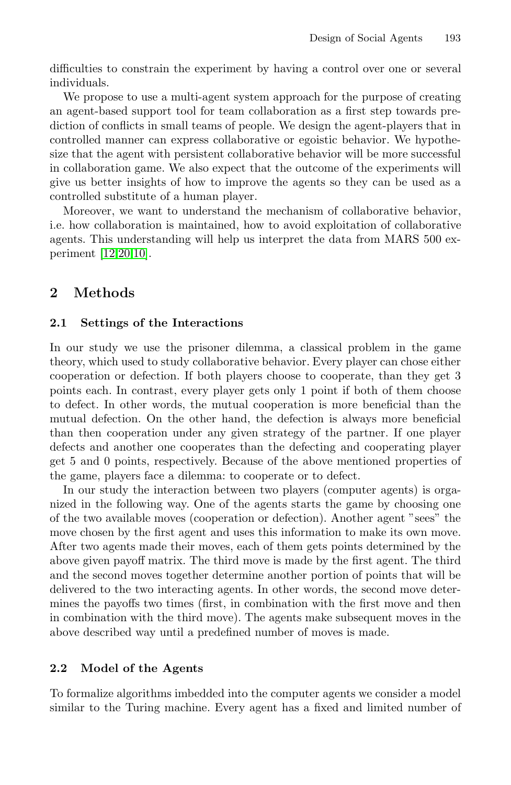difficulties to constrain the experiment by having a control over one or several individuals.

We propose to use a multi-agent system approach for the purpose of creating an agent-based support tool for team collaboration as a first step towards prediction of conflicts in small teams of people. We design the agent-players that in controlled manner can express collaborative or egoistic behavior. We hypothesize that the agent with persistent collaborative behavior will be more successful in collaboration game. We also expect that the outcome of the experiments will give us better insights of how to improve the agents so they can be used as a controlled substitute of a human player.

Moreover, we want to understand the mechanism of collaborative behavior, i.e. how collaboration is maintained, how to avoid exploitation of collaborative agents. This understanding will help us interpret the data from MARS 500 experiment [12,20,10].

# **2 Methods**

#### **2.1 Settings of the Interactions**

In our study we use the prisoner dilemma, a classical problem in the game theory, which used to study collaborative behavior. Every player can chose either cooperation or defection. If both players choose to cooperate, than they get 3 points each. In contrast, every player gets only 1 point if both of them choose to defect. In other words, the mutual cooperation is more beneficial than the mutual defection. On the other hand, the defection is always more beneficial than then cooperation under any given strategy of the partner. If one player defects and another one cooperates than the defecting and cooperating player get 5 and 0 points, respectively. Because of the above mentioned properties of the game, players face a dilemma: to cooperate or to defect.

In our study the interaction between two players (computer agents) is organized in the following way. One of the agents starts the game by choosing one of the two available moves (cooperation or defection). Another agent "sees" the move chosen by the first agent and uses this information to make its own move. After two agents made their moves, each of them gets points determined by the above given payoff matrix. The third move is made by the first agent. The third and the second moves together determine another portion of points that will be delivered to the two interacting agents. In other words, the second move determines the payoffs two times (first, in combination with the first move and then in combination with the third move). The agents make subsequent moves in the above described way until a predefined number of moves is made.

### **2.2 Model of the Agents**

To formalize algorithms imbedded into the computer agents we consider a model similar to the Turing machine. Every agent has a fixed and limited number of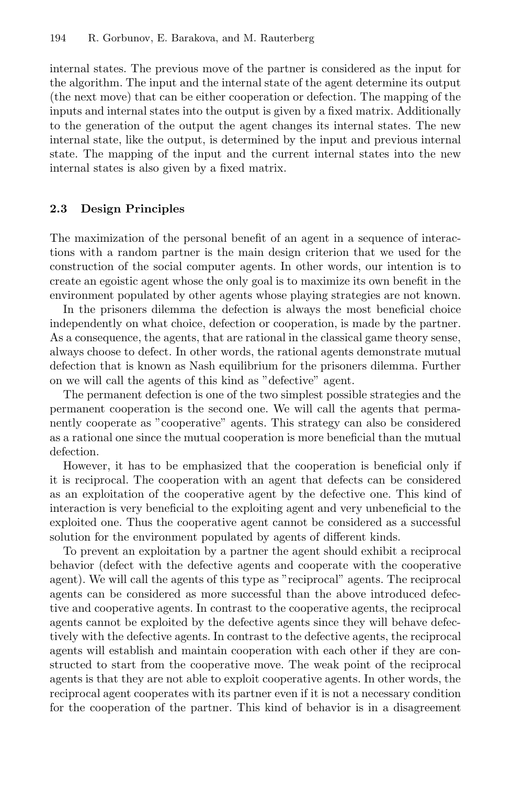internal states. The previous move of the partner is considered as the input for the algorithm. The input and the internal state of the agent determine its output (the next move) that can be either cooperation or defection. The mapping of the inputs and internal states into the output is given by a fixed matrix. Additionally to the generation of the output the agent changes its internal states. The new internal state, like the output, is determined by the input and previous internal state. The mapping of the input and the current internal states into the new internal states is also given by a fixed matrix.

#### **2.3 Design Principles**

The maximization of the personal benefit of an agent in a sequence of interactions with a random partner is the main design criterion that we used for the construction of the social computer agents. In other words, our intention is to create an egoistic agent whose the only goal is to maximize its own benefit in the environment populated by other agents whose playing strategies are not known.

In the prisoners dilemma the defection is always the most beneficial choice independently on what choice, defection or cooperation, is made by the partner. As a consequence, the agents, that are rational in the classical game theory sense, always choose to defect. In other words, the rational agents demonstrate mutual defection that is known as Nash equilibrium for the prisoners dilemma. Further on we will call the agents of this kind as "defective" agent.

The permanent defection is one of the two simplest possible strategies and the permanent cooperation is the second one. We will call the agents that permanently cooperate as "cooperative" agents. This strategy can also be considered as a rational one since the mutual cooperation is more beneficial than the mutual defection.

However, it has to be emphasized that the cooperation is beneficial only if it is reciprocal. The cooperation with an agent that defects can be considered as an exploitation of the cooperative agent by the defective one. This kind of interaction is very beneficial to the exploiting agent and very unbeneficial to the exploited one. Thus the cooperative agent cannot be considered as a successful solution for the environment populated by agents of different kinds.

To prevent an exploitation by a partner the agent should exhibit a reciprocal behavior (defect with the defective agents and cooperate with the cooperative agent). We will call the agents of this type as "reciprocal" agents. The reciprocal agents can be considered as more successful than the above introduced defective and cooperative agents. In contrast to the cooperative agents, the reciprocal agents cannot be exploited by the defective agents since they will behave defectively with the defective agents. In contrast to the defective agents, the reciprocal agents will establish and maintain cooperation with each other if they are constructed to start from the cooperative move. The weak point of the reciprocal agents is that they are not able to exploit cooperative agents. In other words, the reciprocal agent cooperates with its partner even if it is not a necessary condition for the cooperation of the partner. This kind of behavior is in a disagreement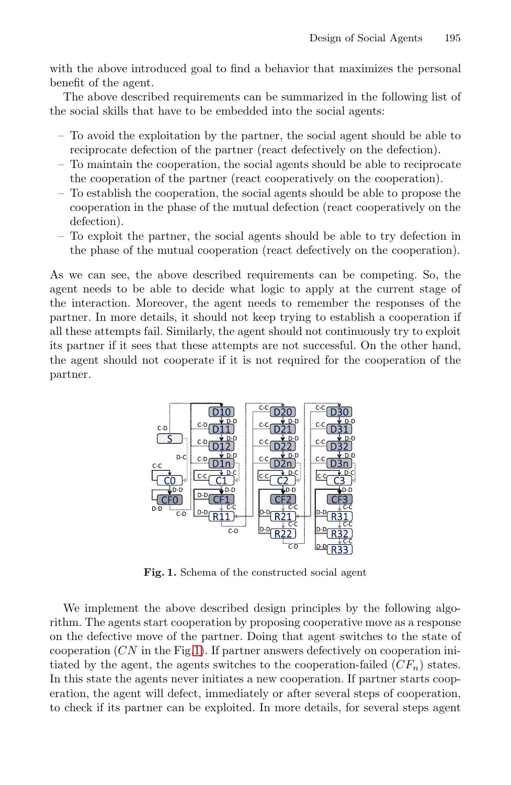with the above introduced goal to find a behavior that maximizes the personal benefit of the agent.

The above described requirements can be summarized in the following list of the social skills that have to be embedded into the social agents:

- To avoid the exploitation by the partner, the social agent should be able to reciprocate defection of the partner (react defectively on the defection).
- To maintain the cooperation, the social agents should be able to reciprocate the cooperation of the partner (react cooperatively on the cooperation).
- To establish the cooperation, the social agents should be able to propose the cooperation in the phase of the mutual defection (react cooperatively on the defection).
- To exploit the partner, the social agents should be able to try defection in the phase of the mutual cooperation (react defectively on the cooperation).

As we can see, the above described requirements can be competing. So, the agent needs to be able to decide what logic to apply at the current stage of the interaction. Moreover, the agent needs to remember the responses of the partner. In more details, it should not keep trying to establish a cooperation if all these attempts fail. Similarly, the agent should not continuously try to exploit its partner if it sees that these attempts are not successful. On the other hand, the agent should not cooperate if it is not required for the cooperation of the partner.



**Fig. 1.** Schema of the constructed social agent

We implement the above described design principles by the following algorithm. The agents start cooperation by proposing cooperative move as a response on the defective move of the partner. Doing that agent switches to the state of cooperation (*CN* in the Fig.1). If partner answers defectively on cooperation initiated by the agent, the agents switches to the cooperation-failed  $(CF_n)$  states. In this state the agents never initiates a new cooperation. If partner starts cooperation, the agent will defect, immediately or after several steps of cooperation, to check if its partner can be exploited. In more details, for several steps agent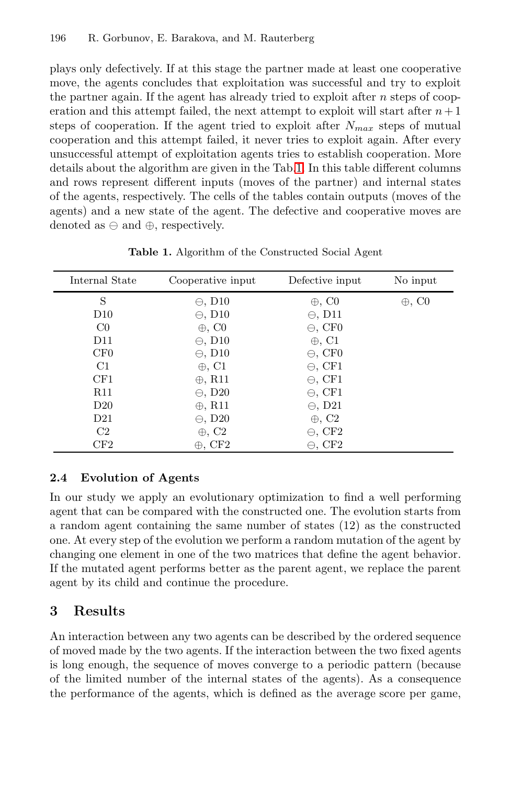#### 196 R. Gorbunov, E. Barakova, and M. Rauterberg

<span id="page-4-0"></span>plays only defectively. If at t[hi](#page-4-0)s stage the partner made at least one cooperative move, the agents concludes that exploitation was successful and try to exploit the partner again. If the agent has already tried to exploit after *n* steps of cooperation and this attempt failed, the next attempt to exploit will start after  $n+1$ steps of cooperation. If the agent tried to exploit after *Nmax* steps of mutual cooperation and this attempt failed, it never tries to exploit again. After every unsuccessful attempt of exploitation agents tries to establish cooperation. More details about the algorithm are given in the Tab.1. In this table different columns and rows represent different inputs (moves of the partner) and internal states of the agents, respectively. The cells of the tables contain outputs (moves of the agents) and a new state of the agent. The defective and cooperative moves are denoted as  $\ominus$  and  $\oplus$ , respectively.

**Table 1.** Algorithm of the Constructed Social Agent

| Internal State  | Cooperative input           | Defective input           | No input      |
|-----------------|-----------------------------|---------------------------|---------------|
| S               | $\ominus$ , D <sub>10</sub> | $\oplus$ , CO             | $\oplus$ , CO |
| D <sub>10</sub> | $\ominus$ , D <sub>10</sub> | $\ominus$ , D11           |               |
| $_{\rm C0}$     | $\oplus$ , C <sub>0</sub>   | $\ominus$ , CF0           |               |
| D <sub>11</sub> | $\ominus$ , D <sub>10</sub> | $\oplus$ , C1             |               |
| CF0             | $\ominus$ , D <sub>10</sub> | $\ominus$ , CF0           |               |
| C1              | $\oplus$ , C1               | $\ominus$ , CF1           |               |
| CF1             | $\oplus$ , R11              | $\ominus$ , CF1           |               |
| R11             | $\ominus$ , D <sub>20</sub> | $\ominus$ , CF1           |               |
| D20             | $\oplus$ , R11              | $\ominus$ , D21           |               |
| D21             | $\ominus$ , D <sub>20</sub> | $\oplus$ , C <sub>2</sub> |               |
| C2              | $\oplus$ , C <sub>2</sub>   | $\ominus$ , CF2           |               |
| CF2             | $\oplus$ , CF2              | $\ominus$ , CF2           |               |

#### **2.4 Evolution of Agents**

In our study we apply an evolutionary optimization to find a well performing agent that can be compared with the constructed one. The evolution starts from a random agent containing the same number of states (12) as the constructed one. At every step of the evolution we perform a random mutation of the agent by changing one element in one of the two matrices that define the agent behavior. If the mutated agent performs better as the parent agent, we replace the parent agent by its child and continue the procedure.

## **3 Results**

An interaction between any two agents can be described by the ordered sequence of moved made by the two agents. If the interaction between the two fixed agents is long enough, the sequence of moves converge to a periodic pattern (because of the limited number of the internal states of the agents). As a consequence the performance of the agents, which is defined as the average score per game,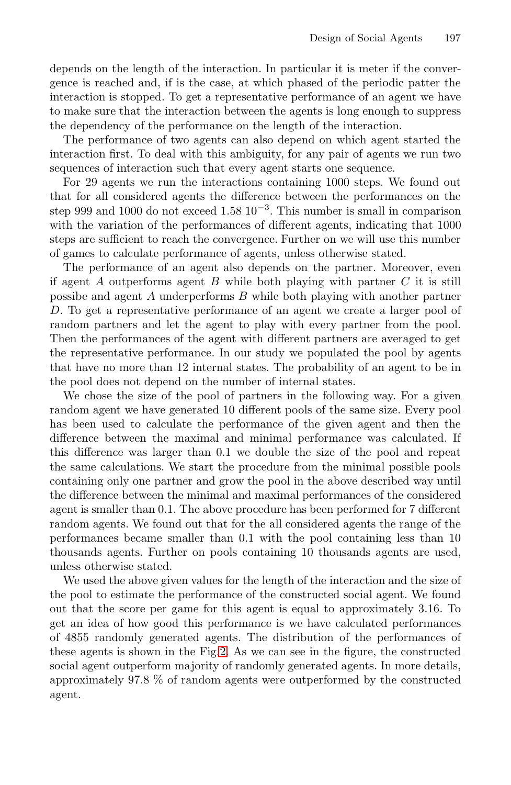depends on the length of the interaction. In particular it is meter if the convergence is reached and, if is the case, at which phased of the periodic patter the interaction is stopped. To get a representative performance of an agent we have to make sure that the interaction between the agents is long enough to suppress the dependency of the performance on the length of the interaction.

The performance of two agents can also depend on which agent started the interaction first. To deal with this ambiguity, for any pair of agents we run two sequences of interaction such that every agent starts one sequence.

For 29 agents we run the interactions containing 1000 steps. We found out that for all considered agents the difference between the performances on the step 999 and 1000 do not exceed 1*.*58 10−<sup>3</sup>. This number is small in comparison with the variation of the performances of different agents, indicating that 1000 steps are sufficient to reach the convergence. Further on we will use this number of games to calculate performance of agents, unless otherwise stated.

The performance of an agent also depends on the partner. Moreover, even if agent *A* outperforms agent *B* while both playing with partner *C* it is still possibe and agent *A* underperforms *B* while both playing with another partner *D*. To get a representative performance of an agent we create a larger pool of random partners and let the agent to play with every partner from the pool. Then the performances of the agent with different partners are averaged to get the representative performance. In our study we populated the pool by agents that have no more than 12 internal states. The probability of an agent to be in the pool does not depend on the number of internal states.

We chose the size of the pool of partners in the following way. For a given random agent we have generated 10 different pools of the same size. Every pool has been used to calculate the performance of the given agent and then the difference between the maximal and minimal performance was calculated. If this difference was larger than 0.1 we double the size of the pool and repeat the same calculations. We start the procedure from the minimal possible pools containing only one partner and grow the pool in the above described way until the difference between the minimal and maximal performances of the considered agent is smaller than 0*.*1. The above procedure has been performed for 7 different random agents. We found out that for the all considered agents the range of the performances [b](#page-6-0)ecame smaller than 0.1 with the pool containing less than 10 thousands agents. Further on pools containing 10 thousands agents are used, unless otherwise stated.

We used the above given values for the length of the interaction and the size of the pool to estimate the performance of the constructed social agent. We found out that the score per game for this agent is equal to approximately 3.16. To get an idea of how good this performance is we have calculated performances of 4855 randomly generated agents. The distribution of the performances of these agents is shown in the Fig.2. As we can see in the figure, the constructed social agent outperform majority of randomly generated agents. In more details, approximately 97.8 % of random agents were outperformed by the constructed agent.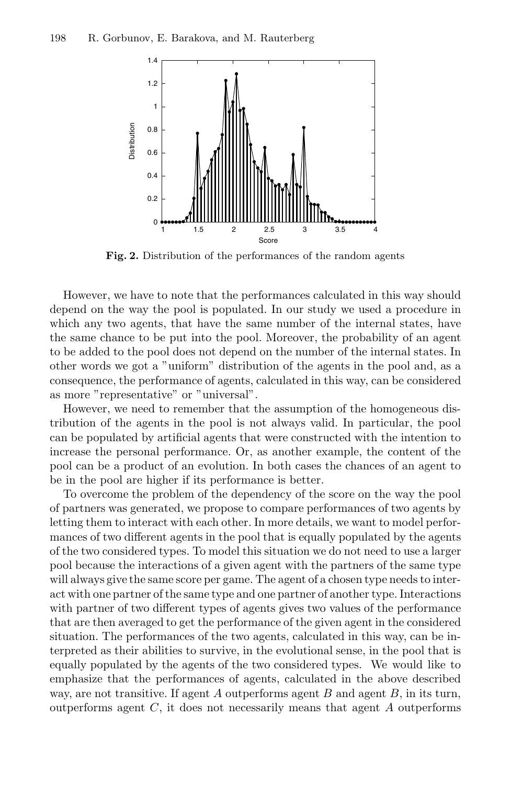

<span id="page-6-0"></span>**Fig. 2.** Distribution of the performances of the random agents

However, we have to note that the performances calculated in this way should depend on the way the pool is populated. In our study we used a procedure in which any two agents, that have the same number of the internal states, have the same chance to be put into the pool. Moreover, the probability of an agent to be added to the pool does not depend on the number of the internal states. In other words we got a "uniform" distribution of the agents in the pool and, as a consequence, the performance of agents, calculated in this way, can be considered as more "representative" or "universal".

However, we need to remember that the assumption of the homogeneous distribution of the agents in the pool is not always valid. In particular, the pool can be populated by artificial agents that were constructed with the intention to increase the personal performance. Or, as another example, the content of the pool can be a product of an evolution. In both cases the chances of an agent to be in the pool are higher if its performance is better.

To overcome the problem of the dependency of the score on the way the pool of partners was generated, we propose to compare performances of two agents by letting them to interact with each other. In more details, we want to model performances of two different agents in the pool that is equally populated by the agents of the two considered types. To model this situation we do not need to use a larger pool because the interactions of a given agent with the partners of the same type will always give the same score per game. The agent of a chosen type needs to interact with one partner of the same type and one partner of another type. Interactions with partner of two different types of agents gives two values of the performance that are then averaged to get the performance of the given agent in the considered situation. The performances of the two agents, calculated in this way, can be interpreted as their abilities to survive, in the evolutional sense, in the pool that is equally populated by the agents of the two considered types. We would like to emphasize that the performances of agents, calculated in the above described way, are not transitive. If agent *A* outperforms agent *B* and agent *B*, in its turn, outperforms agent *C*, it does not necessarily means that agent *A* outperforms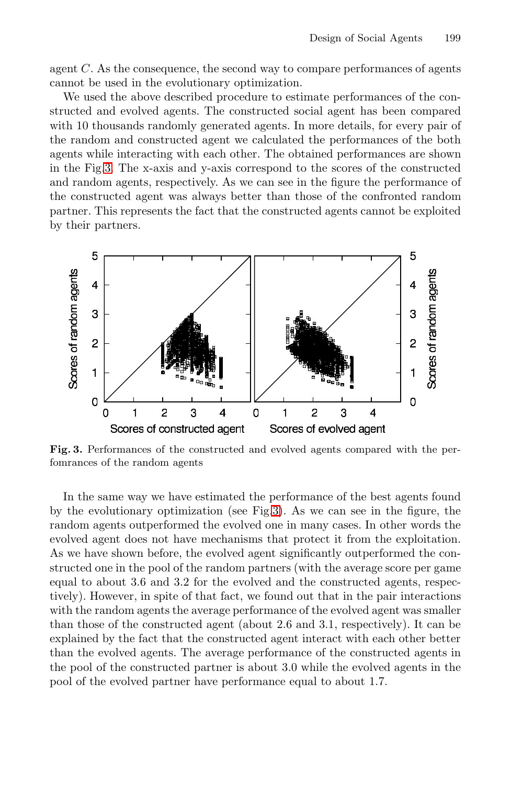agent *C*. As the consequence, the second way to compare performances of agents cannot be used in the evolutionary optimization.

We used the above described procedure to estimate performances of the constructed and evolved agents. The constructed social agent has been compared with 10 thousands randomly generated agents. In more details, for every pair of the random and constructed agent we calculated the performances of the both agents while interacting with each other. The obtained performances are shown in the Fig.3. The x-axis and y-axis correspond to the scores of the constructed and random agents, respectively. As we can see in the figure the performance of the constructed agent was always better than those of the confronted random partner. This represents the fact that the constructed agents cannot be exploited by their partners.



**Fig. 3.** Performances of the constructed and evolved agents compared with the perfomrances of the random agents

In the same way we have estimated the performance of the best agents found by the evolutionary optimization (see Fig.3). As we can see in the figure, the random agents outperformed the evolved one in many cases. In other words the evolved agent does not have mechanisms that protect it from the exploitation. As we have shown before, the evolved agent significantly outperformed the constructed one in the pool of the random partners (with the average score per game equal to about 3.6 and 3.2 for the evolved and the constructed agents, respectively). However, in spite of that fact, we found out that in the pair interactions with the random agents the average performance of the evolved agent was smaller than those of the constructed agent (about 2.6 and 3.1, respectively). It can be explained by the fact that the constructed agent interact with each other better than the evolved agents. The average performance of the constructed agents in the pool of the constructed partner is about 3.0 while the evolved agents in the pool of the evolved partner have performance equal to about 1.7.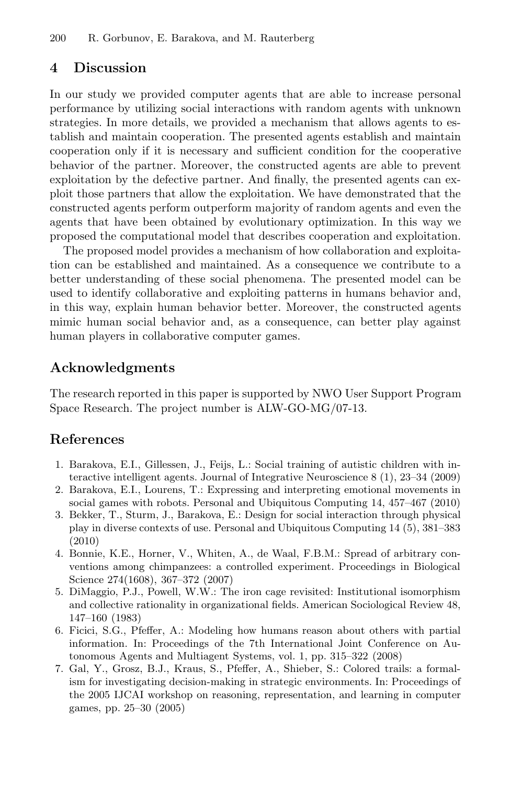# **4 Discussion**

In our study we provided computer agents that are able to increase personal performance by utilizing social interactions with random agents with unknown strategies. In more details, we provided a mechanism that allows agents to establish and maintain cooperation. The presented agents establish and maintain cooperation only if it is necessary and sufficient condition for the cooperative behavior of the partner. Moreover, the constructed agents are able to prevent exploitation by the defective partner. And finally, the presented agents can exploit those partners that allow the exploitation. We have demonstrated that the constructed agents perform outperform majority of random agents and even the agents that have been obtained by evolutionary optimization. In this way we proposed the computational model that describes cooperation and exploitation.

The proposed model provides a mechanism of how collaboration and exploitation can be established and maintained. As a consequence we contribute to a better understanding of these social phenomena. The presented model can be used to identify collaborative and exploiting patterns in humans behavior and, in this way, explain human behavior better. Moreover, the constructed agents mimic human social behavior and, as a consequence, can better play against human players in collaborative computer games.

# **Acknowledgments**

The research reported in this paper is supported by NWO User Support Program Space Research. The project number is ALW-GO-MG/07-13.

# <span id="page-8-1"></span>**References**

- 1. Barakova, E.I., Gillessen, J., Feijs, L.: Social training of autistic children with interactive intelligent agents. Journal of Integrative Neuroscience 8 (1), 23–34 (2009)
- <span id="page-8-0"></span>2. Barakova, E.I., Lourens, T.: Expressing and interpreting emotional movements in social games with robots. Personal and Ubiquitous Computing 14, 457–467 (2010)
- <span id="page-8-2"></span>3. Bekker, T., Sturm, J., Barakova, E.: Design for social interaction through physical play in diverse contexts of use. Personal and Ubiquitous Computing 14 (5), 381–383 (2010)
- 4. Bonnie, K.E., Horner, V., Whiten, A., de Waal, F.B.M.: Spread of arbitrary conventions among chimpanzees: a controlled experiment. Proceedings in Biological Science 274(1608), 367–372 (2007)
- 5. DiMaggio, P.J., Powell, W.W.: The iron cage revisited: Institutional isomorphism and collective rationality in organizational fields. American Sociological Review 48, 147–160 (1983)
- <span id="page-8-4"></span>6. Ficici, S.G., Pfeffer, A.: Modeling how humans reason about others with partial information. In: Proceedings of the 7th International Joint Conference on Autonomous Agents and Multiagent Systems, vol. 1, pp. 315–322 (2008)
- <span id="page-8-3"></span>7. Gal, Y., Grosz, B.J., Kraus, S., Pfeffer, A., Shieber, S.: Colored trails: a formalism for investigating decision-making in strategic environments. In: Proceedings of the 2005 IJCAI workshop on reasoning, representation, and learning in computer games, pp. 25–30 (2005)